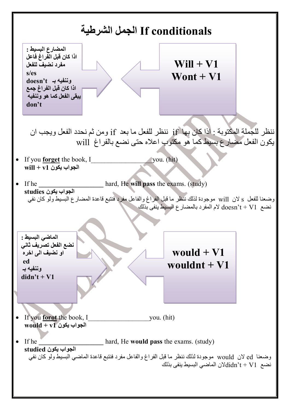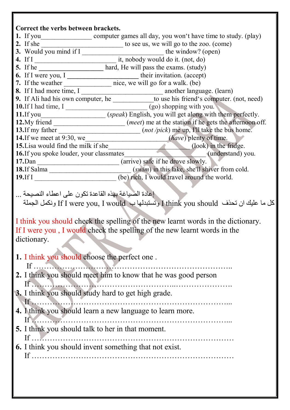## **Correct the verbs between brackets. 1.** If you\_\_\_\_\_\_\_\_\_\_\_\_\_\_\_\_\_\_\_\_\_\_\_\_ computer games all day, you won't have time to study. (play) **2.** If she \_\_\_\_\_\_\_\_\_\_\_\_\_\_\_\_\_\_\_\_\_\_\_\_ to see us, we will go to the zoo. (come) **3.** Would you mind if I has been the window? (open) **4.** If I it, nobody would do it. (not, do) **5.** If he **\_\_\_\_\_\_\_\_\_\_\_\_\_\_\_\_\_** hard, He will pass the exams. (study) **6.** If I were you, I **\_\_\_\_\_\_\_\_\_\_\_\_\_\_\_\_\_\_\_\_\_** their invitation. (accept) **7.** If the weather \_\_\_\_\_\_\_\_\_\_\_\_\_\_ nice, we will go for a walk. (be) **8.** If I had more time, I \_\_\_\_\_\_\_\_\_\_\_\_\_\_\_\_\_\_\_\_\_\_\_\_ another language. (learn) **9.** If Ali had his own computer, he \_\_\_\_\_\_\_\_\_\_\_\_\_to use his friend's computer. (not, need) **10.**If I had time, I \_\_\_\_\_\_\_\_\_\_\_\_\_\_\_\_\_\_\_\_\_\_\_\_ (go) shopping with you. **11.**If you\_\_\_\_\_\_\_\_\_\_\_\_\_\_\_\_\_\_\_ (*speak*) English, you will get along with them perfectly. **12.**My friend \_\_\_\_\_\_\_\_\_\_\_\_\_\_\_\_\_\_\_\_\_ (*meet*) me at the station if he gets the afternoon off. **13.**If my father \_\_\_\_\_\_\_\_\_\_\_\_\_\_\_\_\_\_\_\_\_\_\_\_ (*not /pick*) me up, I'll take the bus home. **14.**If we meet at 9:30, we (*have*) plenty of time. **15.** Lisa would find the milk if she (look) in the fridge. **16.**If you spoke louder, your classmates\_\_\_\_\_\_\_\_\_\_\_\_\_\_\_\_\_\_\_\_\_\_\_\_ (understand) you. **17.**Dan  $\qquad \qquad$  (arrive) safe if he drove slowly. **18.**If Salma  $(swin)$  in this lake, she'll shiver from cold. **19.**If I *I* **19.** If I *I I I <i>I I I I I I I I I I I I I I I I I I I I I I I I I I I I I I* إعادة الصياغة بهذه القاعدة تكون على اعطاء النصيحة ... الجملة ونكمل If I were you, I would ب وتستبدلها I think you should تحذف ان عليك ما كل I think you should check the spelling of the new learnt words in the dictionary. If I were you , I would check the spelling of the new learnt words in the dictionary. **1.** I think you should choose the perfect one . If ………………………………………………………………….. **2.** I think you should meet him to know that he was good person If  $\ldots$  . The set of  $\ldots$  . The set of  $\ldots$  is the set of  $\ldots$  is the set of  $\ldots$ **3.** I think you should study hard to get high grade. If …………………………………………………………………... **4.** I think you should learn a new language to learn more. If …………………………………………………………………... **5.** I think you should talk to her in that moment.  $If \quad \blacksquare$ **6.** I think you should invent something that not exist. If ……………………………………………………………………